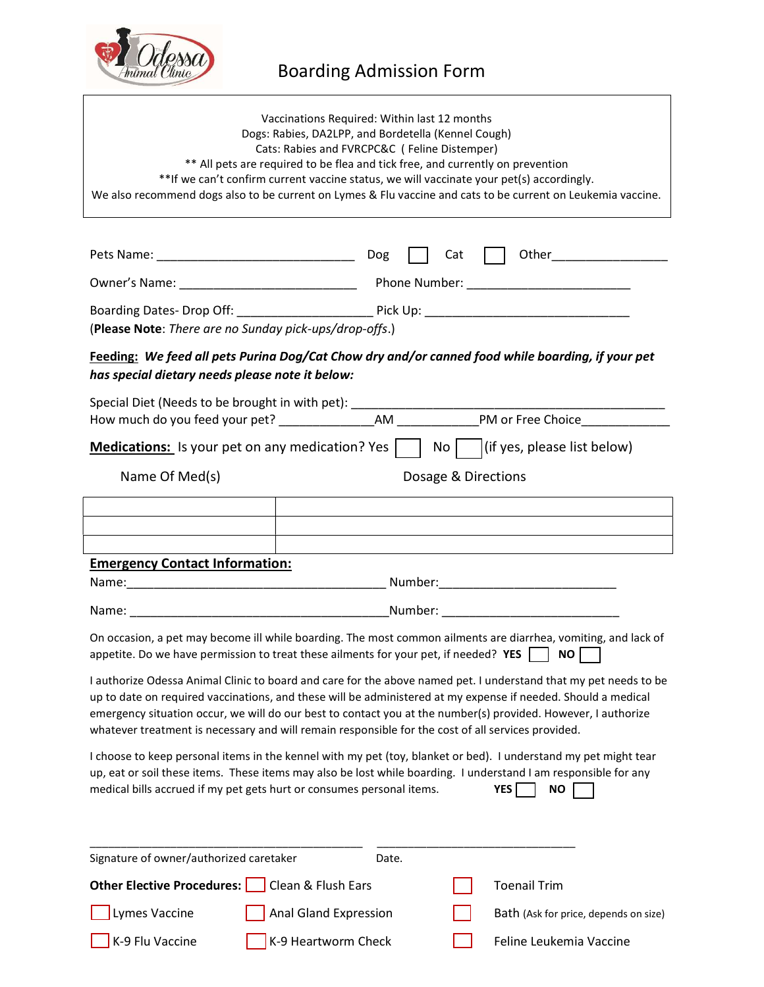

| Vaccinations Required: Within last 12 months<br>Dogs: Rabies, DA2LPP, and Bordetella (Kennel Cough)<br>Cats: Rabies and FVRCPC&C (Feline Distemper)<br>** All pets are required to be flea and tick free, and currently on prevention<br>**If we can't confirm current vaccine status, we will vaccinate your pet(s) accordingly.<br>We also recommend dogs also to be current on Lymes & Flu vaccine and cats to be current on Leukemia vaccine.        |                                                                                                               |  |
|----------------------------------------------------------------------------------------------------------------------------------------------------------------------------------------------------------------------------------------------------------------------------------------------------------------------------------------------------------------------------------------------------------------------------------------------------------|---------------------------------------------------------------------------------------------------------------|--|
|                                                                                                                                                                                                                                                                                                                                                                                                                                                          |                                                                                                               |  |
|                                                                                                                                                                                                                                                                                                                                                                                                                                                          | $\vert \vert$ Cat                                                                                             |  |
|                                                                                                                                                                                                                                                                                                                                                                                                                                                          |                                                                                                               |  |
| (Please Note: There are no Sunday pick-ups/drop-offs.)                                                                                                                                                                                                                                                                                                                                                                                                   |                                                                                                               |  |
| Feeding: We feed all pets Purina Dog/Cat Chow dry and/or canned food while boarding, if your pet<br>has special dietary needs please note it below:                                                                                                                                                                                                                                                                                                      |                                                                                                               |  |
|                                                                                                                                                                                                                                                                                                                                                                                                                                                          | <b>Medications:</b> Is your pet on any medication? Yes $\vert$ $\vert$ No $\vert$ (if yes, please list below) |  |
|                                                                                                                                                                                                                                                                                                                                                                                                                                                          |                                                                                                               |  |
| Name Of Med(s)                                                                                                                                                                                                                                                                                                                                                                                                                                           | Dosage & Directions                                                                                           |  |
|                                                                                                                                                                                                                                                                                                                                                                                                                                                          |                                                                                                               |  |
|                                                                                                                                                                                                                                                                                                                                                                                                                                                          |                                                                                                               |  |
| <b>Emergency Contact Information:</b>                                                                                                                                                                                                                                                                                                                                                                                                                    |                                                                                                               |  |
|                                                                                                                                                                                                                                                                                                                                                                                                                                                          |                                                                                                               |  |
|                                                                                                                                                                                                                                                                                                                                                                                                                                                          |                                                                                                               |  |
| On occasion, a pet may become ill while boarding. The most common ailments are diarrhea, vomiting, and lack of<br>appetite. Do we have permission to treat these ailments for your pet, if needed? YES $\Box$ NO $\Box$                                                                                                                                                                                                                                  |                                                                                                               |  |
| I authorize Odessa Animal Clinic to board and care for the above named pet. I understand that my pet needs to be<br>up to date on required vaccinations, and these will be administered at my expense if needed. Should a medical<br>emergency situation occur, we will do our best to contact you at the number(s) provided. However, I authorize<br>whatever treatment is necessary and will remain responsible for the cost of all services provided. |                                                                                                               |  |
| I choose to keep personal items in the kennel with my pet (toy, blanket or bed). I understand my pet might tear<br>up, eat or soil these items. These items may also be lost while boarding. I understand I am responsible for any<br>medical bills accrued if my pet gets hurt or consumes personal items.<br>YES  <br><b>NO</b>                                                                                                                        |                                                                                                               |  |
|                                                                                                                                                                                                                                                                                                                                                                                                                                                          |                                                                                                               |  |
| Signature of owner/authorized caretaker<br>Date.                                                                                                                                                                                                                                                                                                                                                                                                         |                                                                                                               |  |
| Other Elective Procedures:                                                                                                                                                                                                                                                                                                                                                                                                                               | Clean & Flush Ears<br><b>Toenail Trim</b>                                                                     |  |
| Lymes Vaccine                                                                                                                                                                                                                                                                                                                                                                                                                                            | <b>Anal Gland Expression</b><br>Bath (Ask for price, depends on size)                                         |  |
| K-9 Flu Vaccine                                                                                                                                                                                                                                                                                                                                                                                                                                          | K-9 Heartworm Check<br>Feline Leukemia Vaccine                                                                |  |